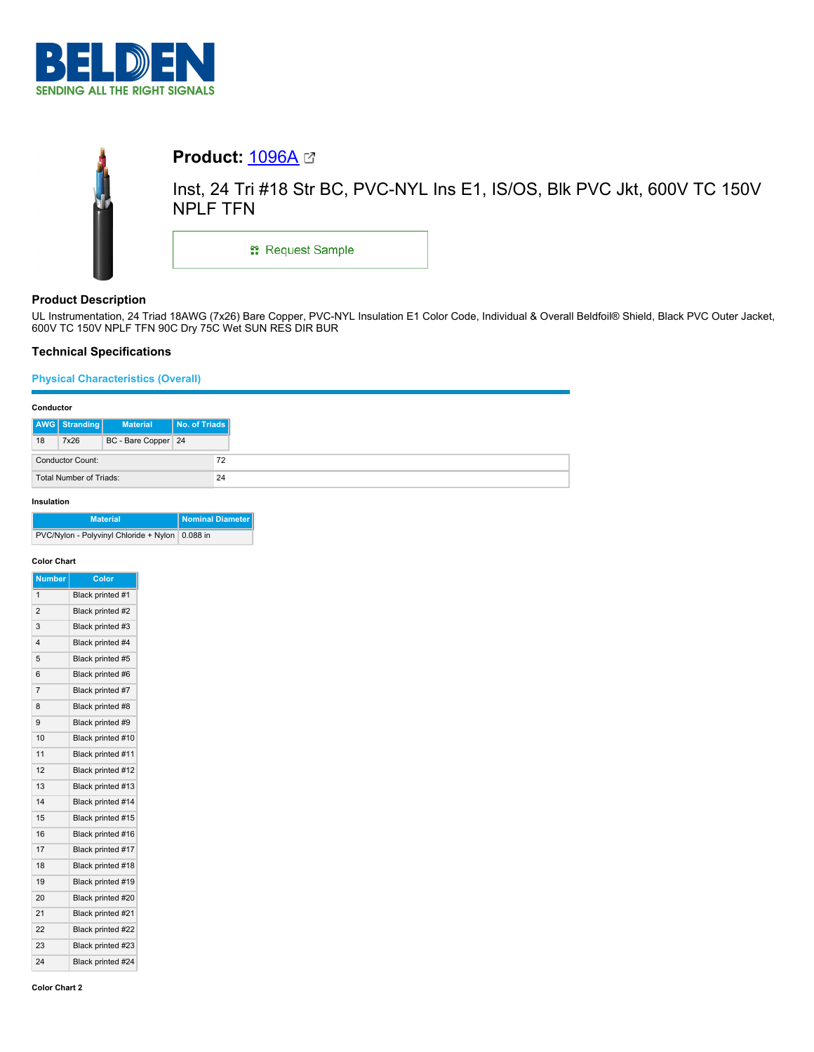



# **Product:** [1096A](https://catalog.belden.com/index.cfm?event=pd&p=PF_1096A&tab=downloads)

Inst, 24 Tri #18 Str BC, PVC-NYL Ins E1, IS/OS, Blk PVC Jkt, 600V TC 150V NPLF TFN

**::** Request Sample

# **Product Description**

UL Instrumentation, 24 Triad 18AWG (7x26) Bare Copper, PVC-NYL Insulation E1 Color Code, Individual & Overall Beldfoil® Shield, Black PVC Outer Jacket, 600V TC 150V NPLF TFN 90C Dry 75C Wet SUN RES DIR BUR

# **Technical Specifications**

### **Physical Characteristics (Overall)**

| Conductor                     |                      |                     |               |
|-------------------------------|----------------------|---------------------|---------------|
|                               | <b>AWG</b> Stranding | <b>Material</b>     | No. of Triads |
| 18                            | 7x26                 | BC - Bare Copper 24 |               |
| <b>Conductor Count:</b><br>72 |                      |                     |               |
| Total Number of Triads:<br>24 |                      |                     |               |

### **Insulation**

| <b>Material</b>                                   | Nominal Diameter |
|---------------------------------------------------|------------------|
| PVC/Nylon - Polyvinyl Chloride + Nylon   0.088 in |                  |

### **Color Chart**

| Number                  | Color             |
|-------------------------|-------------------|
| 1                       | Black printed #1  |
| $\mathfrak{p}$          | Black printed #2  |
| 3                       | Black printed #3  |
| $\overline{\mathbf{4}}$ | Black printed #4  |
| 5                       | Black printed #5  |
| 6                       | Black printed #6  |
| $\overline{7}$          | Black printed #7  |
| 8                       | Black printed #8  |
| 9                       | Black printed #9  |
| 10                      | Black printed #10 |
| 11                      | Black printed #11 |
| 12                      | Black printed #12 |
| 13                      | Black printed #13 |
| 14                      | Black printed #14 |
| 15                      | Black printed #15 |
| 16                      | Black printed #16 |
| 17                      | Black printed #17 |
| 18                      | Black printed #18 |
| 19                      | Black printed #19 |
| 20                      | Black printed #20 |
| 21                      | Black printed #21 |
| 22                      | Black printed #22 |
| 23                      | Black printed #23 |
| 24                      | Black printed #24 |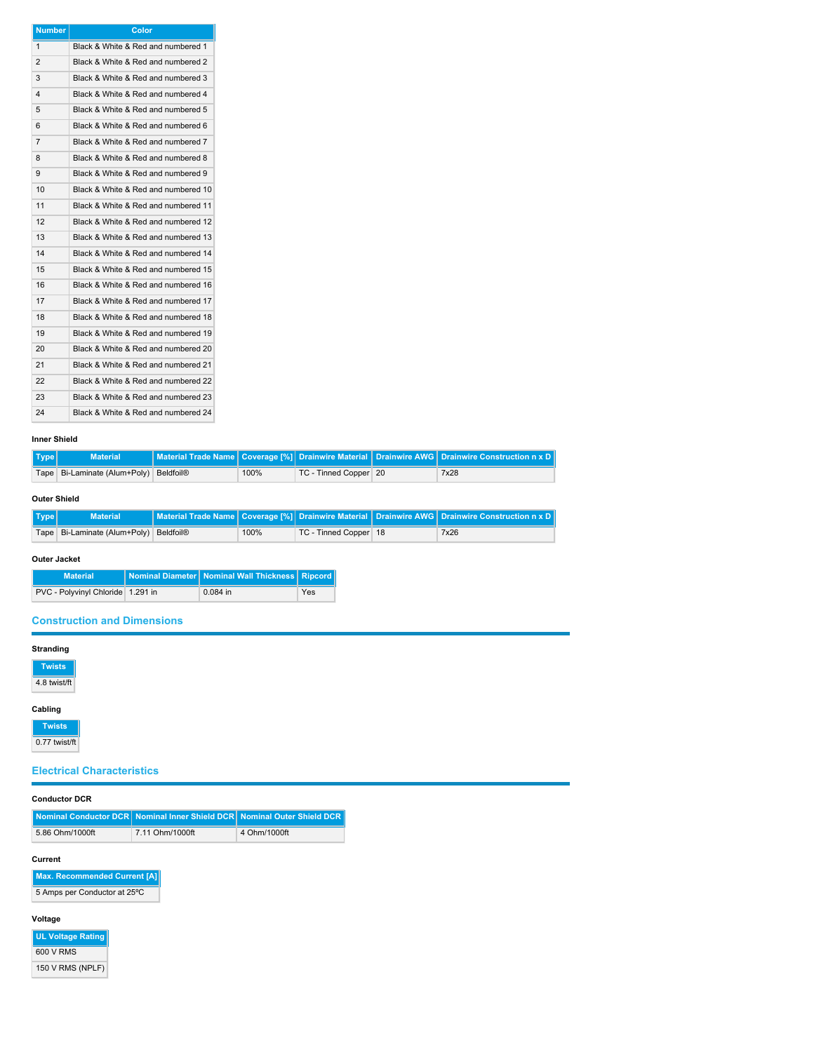| <b>Number</b>  | Color                               |
|----------------|-------------------------------------|
| $\mathbf{1}$   | Black & White & Red and numbered 1  |
| $\overline{2}$ | Black & White & Red and numbered 2  |
| 3              | Black & White & Red and numbered 3  |
| 4              | Black & White & Red and numbered 4  |
| 5              | Black & White & Red and numbered 5  |
| 6              | Black & White & Red and numbered 6  |
| $\overline{7}$ | Black & White & Red and numbered 7  |
| 8              | Black & White & Red and numbered 8  |
| 9              | Black & White & Red and numbered 9  |
| 10             | Black & White & Red and numbered 10 |
| 11             | Black & White & Red and numbered 11 |
| 12             | Black & White & Red and numbered 12 |
| 13             | Black & White & Red and numbered 13 |
| 14             | Black & White & Red and numbered 14 |
| 15             | Black & White & Red and numbered 15 |
| 16             | Black & White & Red and numbered 16 |
| 17             | Black & White & Red and numbered 17 |
| 18             | Black & White & Red and numbered 18 |
| 19             | Black & White & Red and numbered 19 |
| 20             | Black & White & Red and numbered 20 |
| 21             | Black & White & Red and numbered 21 |
| 22             | Black & White & Red and numbered 22 |
| 23             | Black & White & Red and numbered 23 |
| 24             | Black & White & Red and numbered 24 |

### **Inner Shield**

| Type | <b>Material</b>                        |      |                       | Material Trade Name Coverage [%] Drainwire Material Drainwire AWG Drainwire Construction n x D |
|------|----------------------------------------|------|-----------------------|------------------------------------------------------------------------------------------------|
|      | Tape Bi-Laminate (Alum+Poly) Beldfoil® | 100% | TC - Tinned Copper 20 | 7x28                                                                                           |

### **Outer Shield**

| Type | <b>Material</b>                            |      |                         | Material Trade Name Coverage [%] Drainwire Material Drainwire AWG Drainwire Construction n x D |
|------|--------------------------------------------|------|-------------------------|------------------------------------------------------------------------------------------------|
|      | Tape   Bi-Laminate (Alum+Poly)   Beldfoil® | 100% | TC - Tinned Copper   18 | 7x26                                                                                           |

## **Outer Jacket**

| <b>Material</b>                   | Nominal Diameter   Nominal Wall Thickness   Ripcord |     |
|-----------------------------------|-----------------------------------------------------|-----|
| PVC - Polyvinyl Chloride 1.291 in | $0.084$ in                                          | Yes |

# **Construction and Dimensions**

| <b>Stranding</b>                  |                 |                                                                         |  |  |  |
|-----------------------------------|-----------------|-------------------------------------------------------------------------|--|--|--|
| <b>Twists</b>                     |                 |                                                                         |  |  |  |
| 4.8 twist/ft                      |                 |                                                                         |  |  |  |
| Cabling                           |                 |                                                                         |  |  |  |
| <b>Twists</b>                     |                 |                                                                         |  |  |  |
| 0.77 twist/ft                     |                 |                                                                         |  |  |  |
| <b>Electrical Characteristics</b> |                 |                                                                         |  |  |  |
| <b>Conductor DCR</b>              |                 |                                                                         |  |  |  |
|                                   |                 |                                                                         |  |  |  |
|                                   |                 | Nominal Conductor DCR Nominal Inner Shield DCR Nominal Outer Shield DCR |  |  |  |
| 5.86 Ohm/1000ft                   | 7.11 Ohm/1000ft | 4 Ohm/1000ft                                                            |  |  |  |

#### **Current**

**Max. Recommended Current [A]** 5 Amps per Conductor at 25ºC

# **Voltage**

**UL Voltage Rating** 600 V RMS 150 V RMS (NPLF)